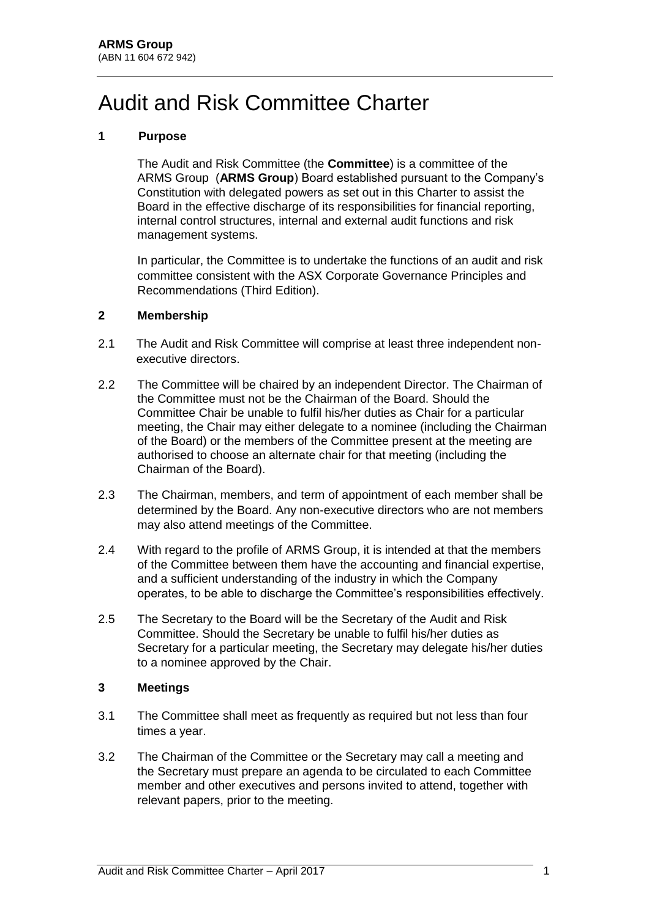# Audit and Risk Committee Charter

## **1 Purpose**

The Audit and Risk Committee (the **Committee**) is a committee of the ARMS Group (**ARMS Group**) Board established pursuant to the Company's Constitution with delegated powers as set out in this Charter to assist the Board in the effective discharge of its responsibilities for financial reporting, internal control structures, internal and external audit functions and risk management systems.

In particular, the Committee is to undertake the functions of an audit and risk committee consistent with the ASX Corporate Governance Principles and Recommendations (Third Edition).

#### **2 Membership**

- 2.1 The Audit and Risk Committee will comprise at least three independent nonexecutive directors.
- 2.2 The Committee will be chaired by an independent Director. The Chairman of the Committee must not be the Chairman of the Board. Should the Committee Chair be unable to fulfil his/her duties as Chair for a particular meeting, the Chair may either delegate to a nominee (including the Chairman of the Board) or the members of the Committee present at the meeting are authorised to choose an alternate chair for that meeting (including the Chairman of the Board).
- 2.3 The Chairman, members, and term of appointment of each member shall be determined by the Board. Any non-executive directors who are not members may also attend meetings of the Committee.
- 2.4 With regard to the profile of ARMS Group, it is intended at that the members of the Committee between them have the accounting and financial expertise, and a sufficient understanding of the industry in which the Company operates, to be able to discharge the Committee's responsibilities effectively.
- 2.5 The Secretary to the Board will be the Secretary of the Audit and Risk Committee. Should the Secretary be unable to fulfil his/her duties as Secretary for a particular meeting, the Secretary may delegate his/her duties to a nominee approved by the Chair.

### **3 Meetings**

- 3.1 The Committee shall meet as frequently as required but not less than four times a year.
- 3.2 The Chairman of the Committee or the Secretary may call a meeting and the Secretary must prepare an agenda to be circulated to each Committee member and other executives and persons invited to attend, together with relevant papers, prior to the meeting.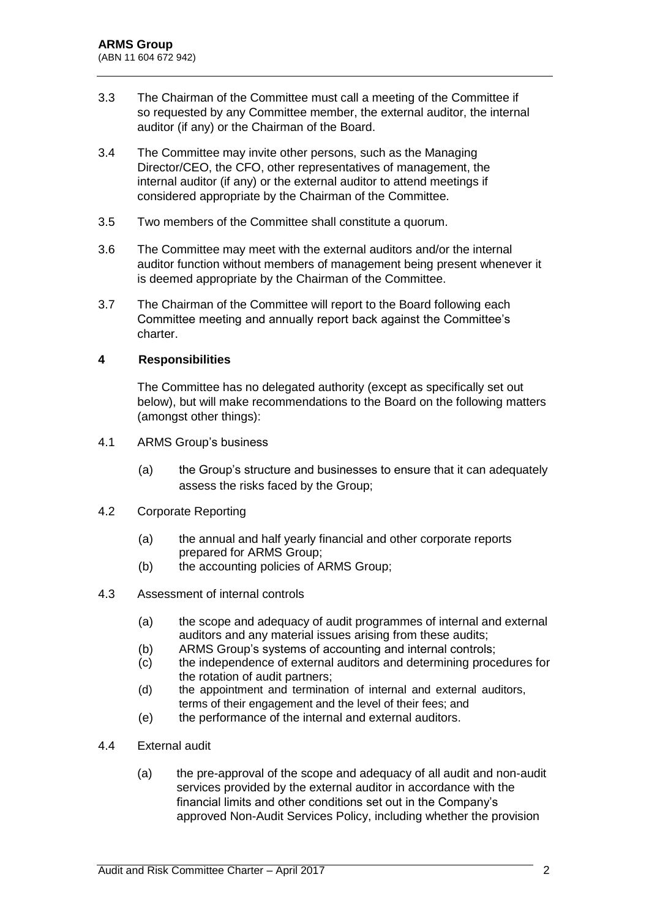- 3.3 The Chairman of the Committee must call a meeting of the Committee if so requested by any Committee member, the external auditor, the internal auditor (if any) or the Chairman of the Board.
- 3.4 The Committee may invite other persons, such as the Managing Director/CEO, the CFO, other representatives of management, the internal auditor (if any) or the external auditor to attend meetings if considered appropriate by the Chairman of the Committee.
- 3.5 Two members of the Committee shall constitute a quorum.
- 3.6 The Committee may meet with the external auditors and/or the internal auditor function without members of management being present whenever it is deemed appropriate by the Chairman of the Committee.
- 3.7 The Chairman of the Committee will report to the Board following each Committee meeting and annually report back against the Committee's charter.

### **4 Responsibilities**

The Committee has no delegated authority (except as specifically set out below), but will make recommendations to the Board on the following matters (amongst other things):

- 4.1 ARMS Group's business
	- (a) the Group's structure and businesses to ensure that it can adequately assess the risks faced by the Group;
- 4.2 Corporate Reporting
	- (a) the annual and half yearly financial and other corporate reports prepared for ARMS Group;
	- (b) the accounting policies of ARMS Group;
- 4.3 Assessment of internal controls
	- (a) the scope and adequacy of audit programmes of internal and external auditors and any material issues arising from these audits;
	- (b) ARMS Group's systems of accounting and internal controls;
	- (c) the independence of external auditors and determining procedures for the rotation of audit partners;
	- (d) the appointment and termination of internal and external auditors, terms of their engagement and the level of their fees; and
	- (e) the performance of the internal and external auditors.
- 4.4 External audit
	- (a) the pre-approval of the scope and adequacy of all audit and non-audit services provided by the external auditor in accordance with the financial limits and other conditions set out in the Company's approved Non-Audit Services Policy, including whether the provision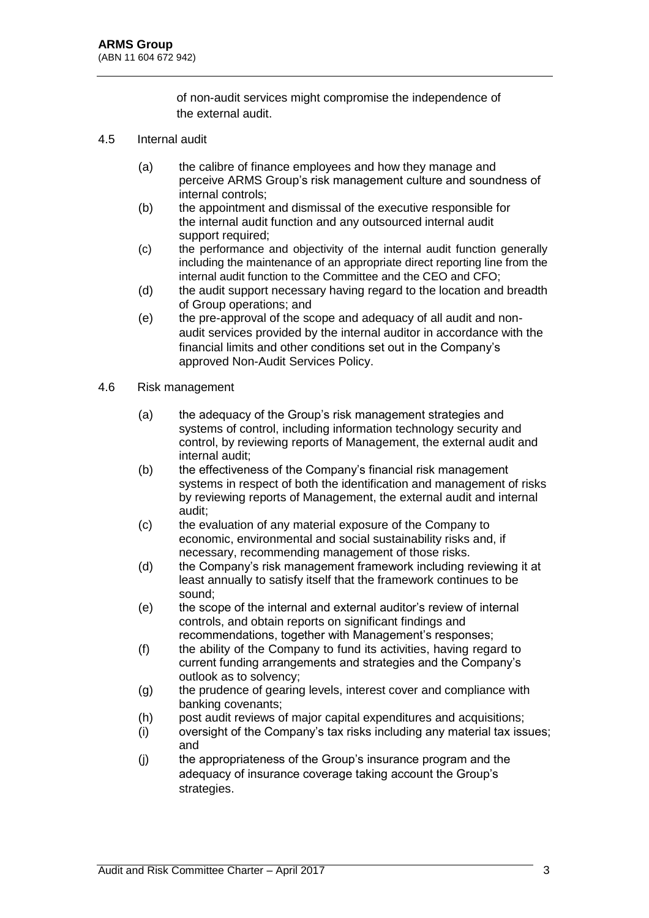of non-audit services might compromise the independence of the external audit.

- 4.5 Internal audit
	- (a) the calibre of finance employees and how they manage and perceive ARMS Group's risk management culture and soundness of internal controls;
	- (b) the appointment and dismissal of the executive responsible for the internal audit function and any outsourced internal audit support required:
	- (c) the performance and objectivity of the internal audit function generally including the maintenance of an appropriate direct reporting line from the internal audit function to the Committee and the CEO and CFO;
	- (d) the audit support necessary having regard to the location and breadth of Group operations; and
	- (e) the pre-approval of the scope and adequacy of all audit and nonaudit services provided by the internal auditor in accordance with the financial limits and other conditions set out in the Company's approved Non-Audit Services Policy.
- 4.6 Risk management
	- (a) the adequacy of the Group's risk management strategies and systems of control, including information technology security and control, by reviewing reports of Management, the external audit and internal audit;
	- (b) the effectiveness of the Company's financial risk management systems in respect of both the identification and management of risks by reviewing reports of Management, the external audit and internal audit;
	- (c) the evaluation of any material exposure of the Company to economic, environmental and social sustainability risks and, if necessary, recommending management of those risks.
	- (d) the Company's risk management framework including reviewing it at least annually to satisfy itself that the framework continues to be sound;
	- (e) the scope of the internal and external auditor's review of internal controls, and obtain reports on significant findings and recommendations, together with Management's responses;
	- (f) the ability of the Company to fund its activities, having regard to current funding arrangements and strategies and the Company's outlook as to solvency;
	- (g) the prudence of gearing levels, interest cover and compliance with banking covenants;
	- (h) post audit reviews of major capital expenditures and acquisitions;
	- (i) oversight of the Company's tax risks including any material tax issues; and
	- (j) the appropriateness of the Group's insurance program and the adequacy of insurance coverage taking account the Group's strategies.